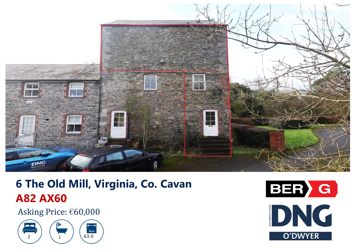

# **6 The Old Mill, Virginia, Co. Cavan A82 AX60**

Asking Price: €60,000



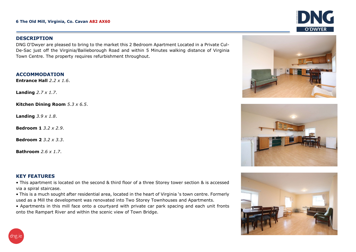#### **DESCRIPTION**

DNG O'Dwyer are pleased to bring to the market this 2 Bedroom Apartment Located in <sup>a</sup> Private Cul-De-Sac just off the Virginia/Bailieborough Road and within 5 Minutes walking distance of Virginia Town Centre. The property requires refurbishment throughout.

#### **ACCOMMODATION**

**Entrance Hall** *2.2 x 1.6*.

**Landing** *2.7 <sup>x</sup> 1.7*.

**Kitchen Dining Room** *5.3 x 6.5*.

**Landing** *3.9 <sup>x</sup> 1.8*.

**Bedroom 1** *3.2 x 2.9*.

**Bedroom 2** *3.2 x 3.3*.

**Bathroom** *2.6 x 1.7*.

#### **KEY FEATURES**

• This apartment is located on the second & third floor of a three Storey tower section & is accessed via a spiral staircase.

• This is <sup>a</sup> much sought after residential area, located in the heart of Virginia 's town centre. Formerly used as a Mill the development was renovated into Two Storey Townhouses and Apartments.

• Apartments in this mill face onto <sup>a</sup> courtyard with private car park spacing and each unit fronts onto the Rampart River and within the scenic view of Town Bridge.



DNG

O'DWYF